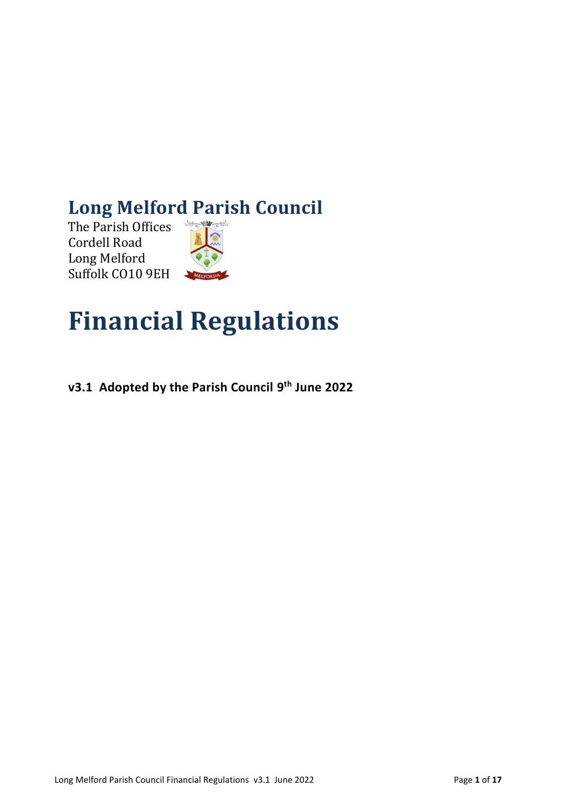# **Long Melford Parish Council**

The Parish Offices Cordell Road Long Melford Suffolk CO10 9EH



# **Financial Regulations**

**v3.1 Adopted by the Parish Council 9 th June 2022**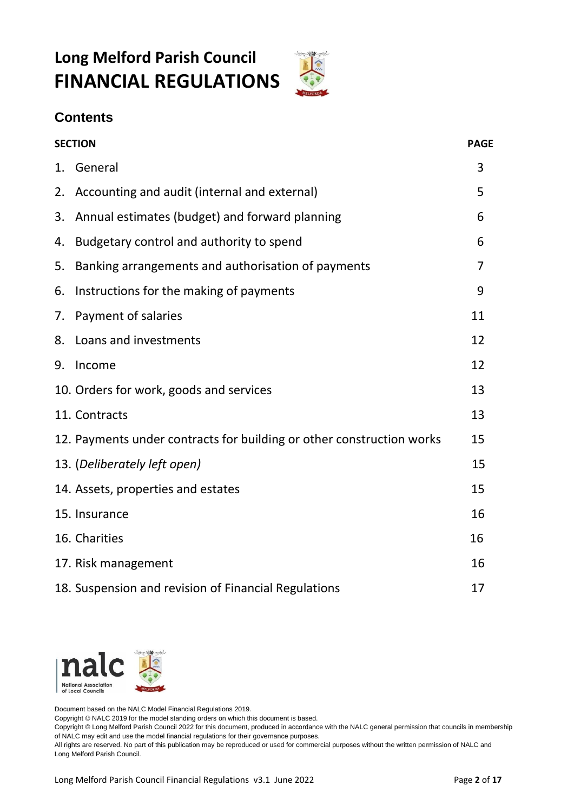# **Long Melford Parish Council FINANCIAL REGULATIONS**



# **Contents**

| <b>SECTION</b> |                                                                       | <b>PAGE</b> |
|----------------|-----------------------------------------------------------------------|-------------|
|                | 1. General                                                            | 3           |
| 2.             | Accounting and audit (internal and external)                          | 5           |
| 3.             | Annual estimates (budget) and forward planning                        | 6           |
| 4.             | Budgetary control and authority to spend                              | 6           |
| 5.             | Banking arrangements and authorisation of payments                    | 7           |
| 6.             | Instructions for the making of payments                               | 9           |
| 7.             | Payment of salaries                                                   | 11          |
| 8.             | Loans and investments                                                 | 12          |
| 9.             | Income                                                                | 12          |
|                | 10. Orders for work, goods and services                               | 13          |
|                | 11. Contracts                                                         | 13          |
|                | 12. Payments under contracts for building or other construction works | 15          |
|                | 13. (Deliberately left open)                                          | 15          |
|                | 14. Assets, properties and estates                                    | 15          |
|                | 15. Insurance                                                         | 16          |
|                | 16. Charities                                                         | 16          |
|                | 17. Risk management                                                   | 16          |
|                | 18. Suspension and revision of Financial Regulations                  | 17          |



Document based on the NALC Model Financial Regulations 2019.

Copyright © NALC 2019 for the model standing orders on which this document is based.

Copyright © Long Melford Parish Council 2022 for this document, produced in accordance with the NALC general permission that councils in membership of NALC may edit and use the model financial regulations for their governance purposes.

All rights are reserved. No part of this publication may be reproduced or used for commercial purposes without the written permission of NALC and Long Melford Parish Council.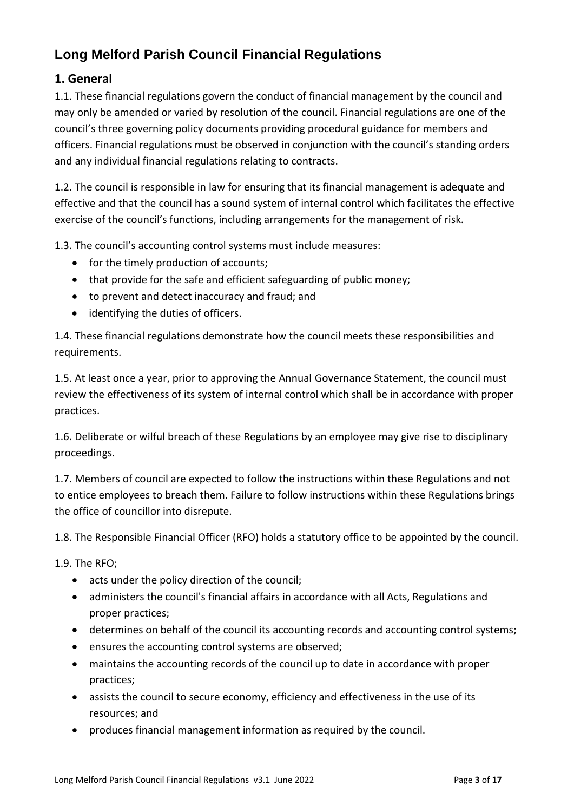# **Long Melford Parish Council Financial Regulations**

#### **1. General**

1.1. These financial regulations govern the conduct of financial management by the council and may only be amended or varied by resolution of the council. Financial regulations are one of the council's three governing policy documents providing procedural guidance for members and officers. Financial regulations must be observed in conjunction with the council's standing orders and any individual financial regulations relating to contracts.

1.2. The council is responsible in law for ensuring that its financial management is adequate and effective and that the council has a sound system of internal control which facilitates the effective exercise of the council's functions, including arrangements for the management of risk.

1.3. The council's accounting control systems must include measures:

- for the timely production of accounts;
- that provide for the safe and efficient safeguarding of public money;
- to prevent and detect inaccuracy and fraud; and
- identifying the duties of officers.

1.4. These financial regulations demonstrate how the council meets these responsibilities and requirements.

1.5. At least once a year, prior to approving the Annual Governance Statement, the council must review the effectiveness of its system of internal control which shall be in accordance with proper practices.

1.6. Deliberate or wilful breach of these Regulations by an employee may give rise to disciplinary proceedings.

1.7. Members of council are expected to follow the instructions within these Regulations and not to entice employees to breach them. Failure to follow instructions within these Regulations brings the office of councillor into disrepute.

1.8. The Responsible Financial Officer (RFO) holds a statutory office to be appointed by the council.

1.9. The RFO;

- acts under the policy direction of the council;
- administers the council's financial affairs in accordance with all Acts, Regulations and proper practices;
- determines on behalf of the council its accounting records and accounting control systems;
- ensures the accounting control systems are observed;
- maintains the accounting records of the council up to date in accordance with proper practices;
- assists the council to secure economy, efficiency and effectiveness in the use of its resources; and
- produces financial management information as required by the council.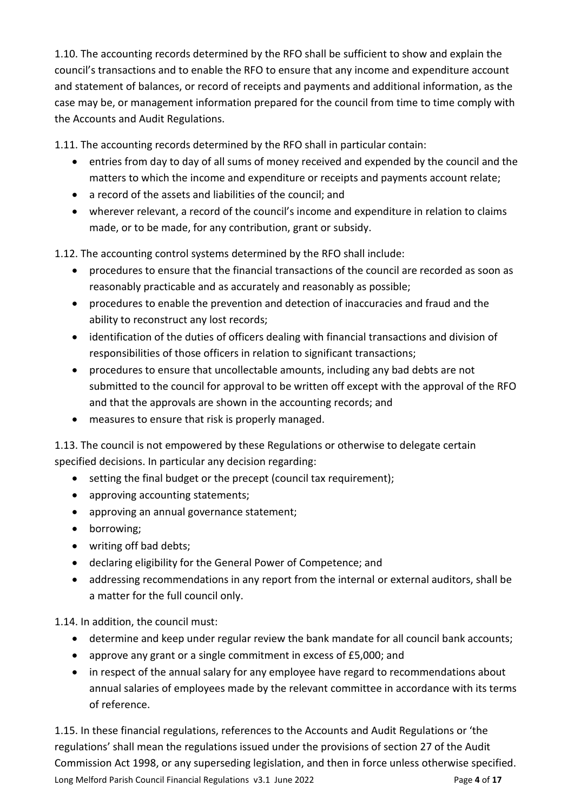1.10. The accounting records determined by the RFO shall be sufficient to show and explain the council's transactions and to enable the RFO to ensure that any income and expenditure account and statement of balances, or record of receipts and payments and additional information, as the case may be, or management information prepared for the council from time to time comply with the Accounts and Audit Regulations.

1.11. The accounting records determined by the RFO shall in particular contain:

- entries from day to day of all sums of money received and expended by the council and the matters to which the income and expenditure or receipts and payments account relate;
- a record of the assets and liabilities of the council; and
- wherever relevant, a record of the council's income and expenditure in relation to claims made, or to be made, for any contribution, grant or subsidy.

1.12. The accounting control systems determined by the RFO shall include:

- procedures to ensure that the financial transactions of the council are recorded as soon as reasonably practicable and as accurately and reasonably as possible;
- procedures to enable the prevention and detection of inaccuracies and fraud and the ability to reconstruct any lost records;
- identification of the duties of officers dealing with financial transactions and division of responsibilities of those officers in relation to significant transactions;
- procedures to ensure that uncollectable amounts, including any bad debts are not submitted to the council for approval to be written off except with the approval of the RFO and that the approvals are shown in the accounting records; and
- measures to ensure that risk is properly managed.

1.13. The council is not empowered by these Regulations or otherwise to delegate certain specified decisions. In particular any decision regarding:

- setting the final budget or the precept (council tax requirement);
- approving accounting statements;
- approving an annual governance statement;
- borrowing;
- writing off bad debts;
- declaring eligibility for the General Power of Competence; and
- addressing recommendations in any report from the internal or external auditors, shall be a matter for the full council only.

1.14. In addition, the council must:

- determine and keep under regular review the bank mandate for all council bank accounts;
- approve any grant or a single commitment in excess of £5,000; and
- in respect of the annual salary for any employee have regard to recommendations about annual salaries of employees made by the relevant committee in accordance with its terms of reference.

Long Melford Parish Council Financial Regulations v3.1 June 2022 **Page 4** of 17 1.15. In these financial regulations, references to the Accounts and Audit Regulations or 'the regulations' shall mean the regulations issued under the provisions of section 27 of the Audit Commission Act 1998, or any superseding legislation, and then in force unless otherwise specified.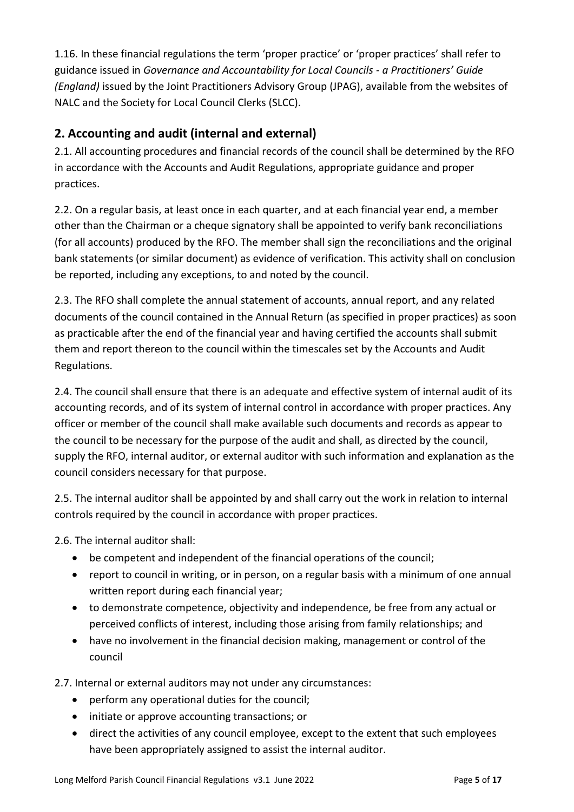1.16. In these financial regulations the term 'proper practice' or 'proper practices' shall refer to guidance issued in *Governance and Accountability for Local Councils - a Practitioners' Guide (England)* issued by the Joint Practitioners Advisory Group (JPAG), available from the websites of NALC and the Society for Local Council Clerks (SLCC).

#### **2. Accounting and audit (internal and external)**

2.1. All accounting procedures and financial records of the council shall be determined by the RFO in accordance with the Accounts and Audit Regulations, appropriate guidance and proper practices.

2.2. On a regular basis, at least once in each quarter, and at each financial year end, a member other than the Chairman or a cheque signatory shall be appointed to verify bank reconciliations (for all accounts) produced by the RFO. The member shall sign the reconciliations and the original bank statements (or similar document) as evidence of verification. This activity shall on conclusion be reported, including any exceptions, to and noted by the council.

2.3. The RFO shall complete the annual statement of accounts, annual report, and any related documents of the council contained in the Annual Return (as specified in proper practices) as soon as practicable after the end of the financial year and having certified the accounts shall submit them and report thereon to the council within the timescales set by the Accounts and Audit Regulations.

2.4. The council shall ensure that there is an adequate and effective system of internal audit of its accounting records, and of its system of internal control in accordance with proper practices. Any officer or member of the council shall make available such documents and records as appear to the council to be necessary for the purpose of the audit and shall, as directed by the council, supply the RFO, internal auditor, or external auditor with such information and explanation as the council considers necessary for that purpose.

2.5. The internal auditor shall be appointed by and shall carry out the work in relation to internal controls required by the council in accordance with proper practices.

2.6. The internal auditor shall:

- be competent and independent of the financial operations of the council;
- report to council in writing, or in person, on a regular basis with a minimum of one annual written report during each financial year;
- to demonstrate competence, objectivity and independence, be free from any actual or perceived conflicts of interest, including those arising from family relationships; and
- have no involvement in the financial decision making, management or control of the council

2.7. Internal or external auditors may not under any circumstances:

- perform any operational duties for the council;
- initiate or approve accounting transactions; or
- direct the activities of any council employee, except to the extent that such employees have been appropriately assigned to assist the internal auditor.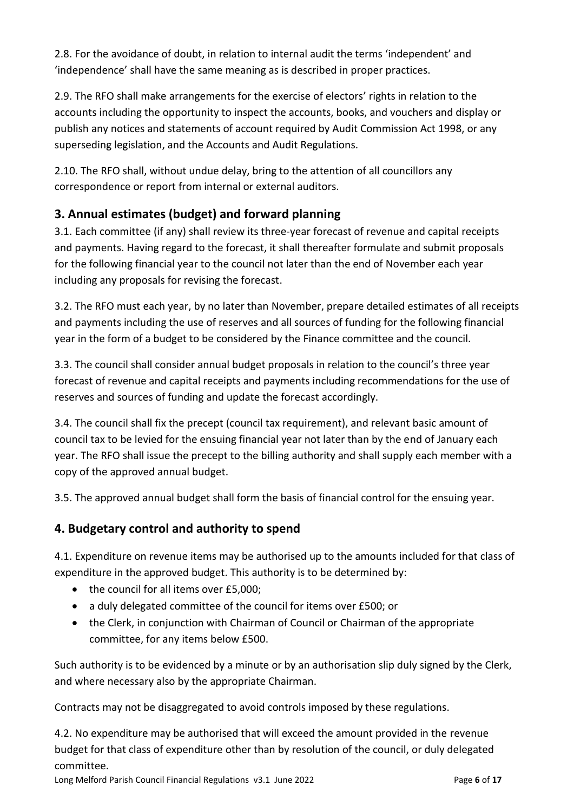2.8. For the avoidance of doubt, in relation to internal audit the terms 'independent' and 'independence' shall have the same meaning as is described in proper practices.

2.9. The RFO shall make arrangements for the exercise of electors' rights in relation to the accounts including the opportunity to inspect the accounts, books, and vouchers and display or publish any notices and statements of account required by Audit Commission Act 1998, or any superseding legislation, and the Accounts and Audit Regulations.

2.10. The RFO shall, without undue delay, bring to the attention of all councillors any correspondence or report from internal or external auditors.

# **3. Annual estimates (budget) and forward planning**

3.1. Each committee (if any) shall review its three-year forecast of revenue and capital receipts and payments. Having regard to the forecast, it shall thereafter formulate and submit proposals for the following financial year to the council not later than the end of November each year including any proposals for revising the forecast.

3.2. The RFO must each year, by no later than November, prepare detailed estimates of all receipts and payments including the use of reserves and all sources of funding for the following financial year in the form of a budget to be considered by the Finance committee and the council.

3.3. The council shall consider annual budget proposals in relation to the council's three year forecast of revenue and capital receipts and payments including recommendations for the use of reserves and sources of funding and update the forecast accordingly.

3.4. The council shall fix the precept (council tax requirement), and relevant basic amount of council tax to be levied for the ensuing financial year not later than by the end of January each year. The RFO shall issue the precept to the billing authority and shall supply each member with a copy of the approved annual budget.

3.5. The approved annual budget shall form the basis of financial control for the ensuing year.

# **4. Budgetary control and authority to spend**

4.1. Expenditure on revenue items may be authorised up to the amounts included for that class of expenditure in the approved budget. This authority is to be determined by:

- the council for all items over £5,000;
- a duly delegated committee of the council for items over £500; or
- the Clerk, in conjunction with Chairman of Council or Chairman of the appropriate committee, for any items below £500.

Such authority is to be evidenced by a minute or by an authorisation slip duly signed by the Clerk, and where necessary also by the appropriate Chairman.

Contracts may not be disaggregated to avoid controls imposed by these regulations.

4.2. No expenditure may be authorised that will exceed the amount provided in the revenue budget for that class of expenditure other than by resolution of the council, or duly delegated committee.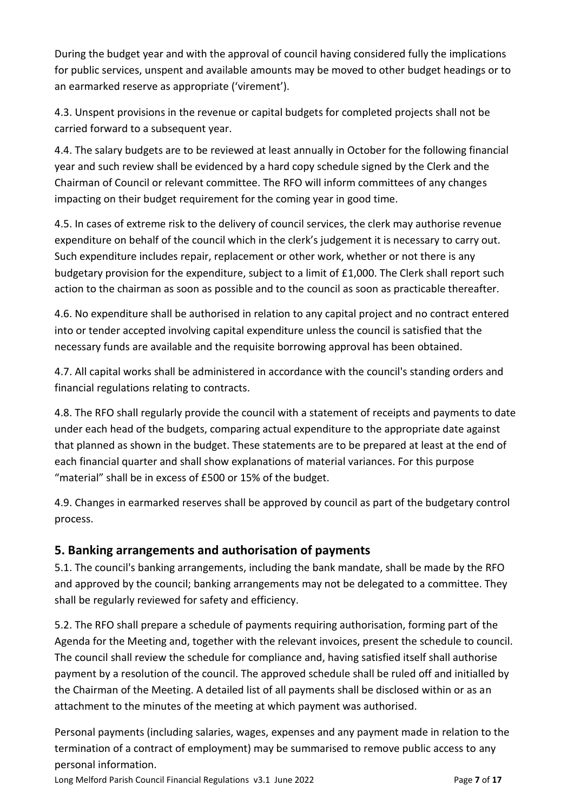During the budget year and with the approval of council having considered fully the implications for public services, unspent and available amounts may be moved to other budget headings or to an earmarked reserve as appropriate ('virement').

4.3. Unspent provisions in the revenue or capital budgets for completed projects shall not be carried forward to a subsequent year.

4.4. The salary budgets are to be reviewed at least annually in October for the following financial year and such review shall be evidenced by a hard copy schedule signed by the Clerk and the Chairman of Council or relevant committee. The RFO will inform committees of any changes impacting on their budget requirement for the coming year in good time.

4.5. In cases of extreme risk to the delivery of council services, the clerk may authorise revenue expenditure on behalf of the council which in the clerk's judgement it is necessary to carry out. Such expenditure includes repair, replacement or other work, whether or not there is any budgetary provision for the expenditure, subject to a limit of £1,000. The Clerk shall report such action to the chairman as soon as possible and to the council as soon as practicable thereafter.

4.6. No expenditure shall be authorised in relation to any capital project and no contract entered into or tender accepted involving capital expenditure unless the council is satisfied that the necessary funds are available and the requisite borrowing approval has been obtained.

4.7. All capital works shall be administered in accordance with the council's standing orders and financial regulations relating to contracts.

4.8. The RFO shall regularly provide the council with a statement of receipts and payments to date under each head of the budgets, comparing actual expenditure to the appropriate date against that planned as shown in the budget. These statements are to be prepared at least at the end of each financial quarter and shall show explanations of material variances. For this purpose "material" shall be in excess of £500 or 15% of the budget.

4.9. Changes in earmarked reserves shall be approved by council as part of the budgetary control process.

#### **5. Banking arrangements and authorisation of payments**

5.1. The council's banking arrangements, including the bank mandate, shall be made by the RFO and approved by the council; banking arrangements may not be delegated to a committee. They shall be regularly reviewed for safety and efficiency.

5.2. The RFO shall prepare a schedule of payments requiring authorisation, forming part of the Agenda for the Meeting and, together with the relevant invoices, present the schedule to council. The council shall review the schedule for compliance and, having satisfied itself shall authorise payment by a resolution of the council. The approved schedule shall be ruled off and initialled by the Chairman of the Meeting. A detailed list of all payments shall be disclosed within or as an attachment to the minutes of the meeting at which payment was authorised.

Personal payments (including salaries, wages, expenses and any payment made in relation to the termination of a contract of employment) may be summarised to remove public access to any personal information.

Long Melford Parish Council Financial Regulations v3.1 June 2022 Page **7** of **17**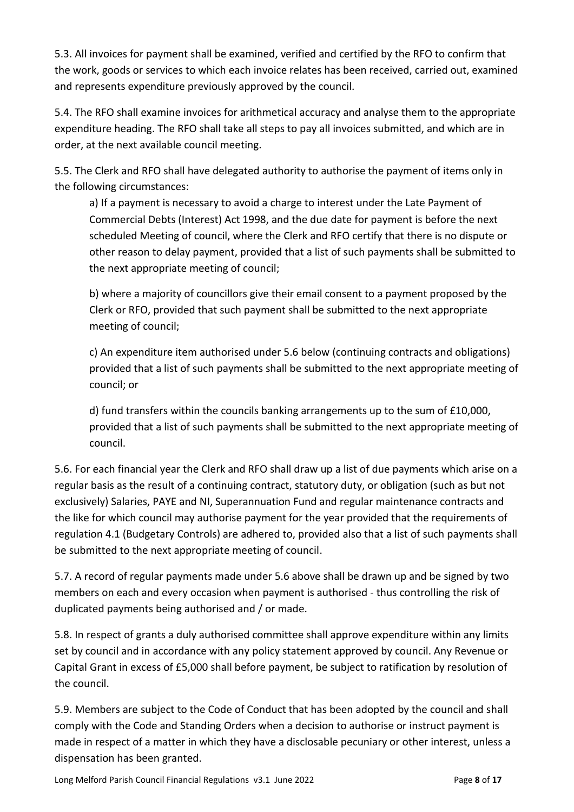5.3. All invoices for payment shall be examined, verified and certified by the RFO to confirm that the work, goods or services to which each invoice relates has been received, carried out, examined and represents expenditure previously approved by the council.

5.4. The RFO shall examine invoices for arithmetical accuracy and analyse them to the appropriate expenditure heading. The RFO shall take all steps to pay all invoices submitted, and which are in order, at the next available council meeting.

5.5. The Clerk and RFO shall have delegated authority to authorise the payment of items only in the following circumstances:

a) If a payment is necessary to avoid a charge to interest under the Late Payment of Commercial Debts (Interest) Act 1998, and the due date for payment is before the next scheduled Meeting of council, where the Clerk and RFO certify that there is no dispute or other reason to delay payment, provided that a list of such payments shall be submitted to the next appropriate meeting of council;

b) where a majority of councillors give their email consent to a payment proposed by the Clerk or RFO, provided that such payment shall be submitted to the next appropriate meeting of council;

c) An expenditure item authorised under 5.6 below (continuing contracts and obligations) provided that a list of such payments shall be submitted to the next appropriate meeting of council; or

d) fund transfers within the councils banking arrangements up to the sum of £10,000, provided that a list of such payments shall be submitted to the next appropriate meeting of council.

5.6. For each financial year the Clerk and RFO shall draw up a list of due payments which arise on a regular basis as the result of a continuing contract, statutory duty, or obligation (such as but not exclusively) Salaries, PAYE and NI, Superannuation Fund and regular maintenance contracts and the like for which council may authorise payment for the year provided that the requirements of regulation 4.1 (Budgetary Controls) are adhered to, provided also that a list of such payments shall be submitted to the next appropriate meeting of council.

5.7. A record of regular payments made under 5.6 above shall be drawn up and be signed by two members on each and every occasion when payment is authorised - thus controlling the risk of duplicated payments being authorised and / or made.

5.8. In respect of grants a duly authorised committee shall approve expenditure within any limits set by council and in accordance with any policy statement approved by council. Any Revenue or Capital Grant in excess of £5,000 shall before payment, be subject to ratification by resolution of the council.

5.9. Members are subject to the Code of Conduct that has been adopted by the council and shall comply with the Code and Standing Orders when a decision to authorise or instruct payment is made in respect of a matter in which they have a disclosable pecuniary or other interest, unless a dispensation has been granted.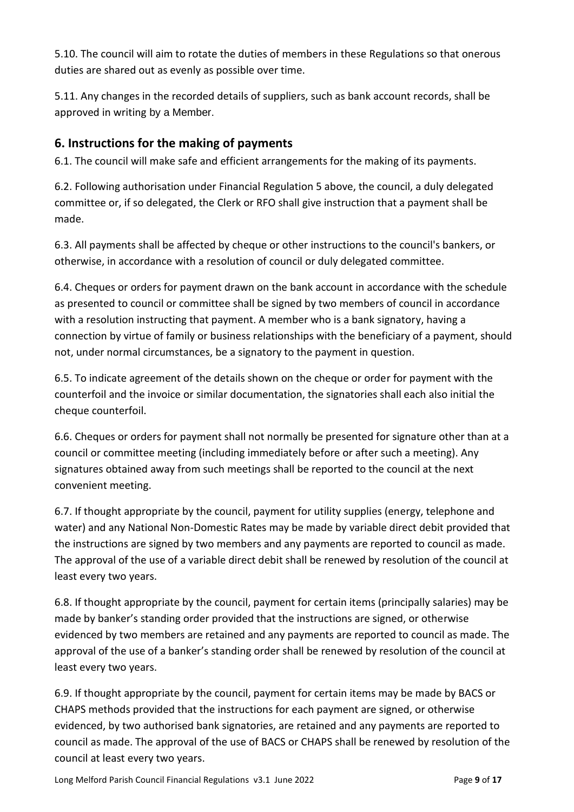5.10. The council will aim to rotate the duties of members in these Regulations so that onerous duties are shared out as evenly as possible over time.

5.11. Any changes in the recorded details of suppliers, such as bank account records, shall be approved in writing by a Member.

#### **6. Instructions for the making of payments**

6.1. The council will make safe and efficient arrangements for the making of its payments.

6.2. Following authorisation under Financial Regulation 5 above, the council, a duly delegated committee or, if so delegated, the Clerk or RFO shall give instruction that a payment shall be made.

6.3. All payments shall be affected by cheque or other instructions to the council's bankers, or otherwise, in accordance with a resolution of council or duly delegated committee.

6.4. Cheques or orders for payment drawn on the bank account in accordance with the schedule as presented to council or committee shall be signed by two members of council in accordance with a resolution instructing that payment. A member who is a bank signatory, having a connection by virtue of family or business relationships with the beneficiary of a payment, should not, under normal circumstances, be a signatory to the payment in question.

6.5. To indicate agreement of the details shown on the cheque or order for payment with the counterfoil and the invoice or similar documentation, the signatories shall each also initial the cheque counterfoil.

6.6. Cheques or orders for payment shall not normally be presented for signature other than at a council or committee meeting (including immediately before or after such a meeting). Any signatures obtained away from such meetings shall be reported to the council at the next convenient meeting.

6.7. If thought appropriate by the council, payment for utility supplies (energy, telephone and water) and any National Non-Domestic Rates may be made by variable direct debit provided that the instructions are signed by two members and any payments are reported to council as made. The approval of the use of a variable direct debit shall be renewed by resolution of the council at least every two years.

6.8. If thought appropriate by the council, payment for certain items (principally salaries) may be made by banker's standing order provided that the instructions are signed, or otherwise evidenced by two members are retained and any payments are reported to council as made. The approval of the use of a banker's standing order shall be renewed by resolution of the council at least every two years.

6.9. If thought appropriate by the council, payment for certain items may be made by BACS or CHAPS methods provided that the instructions for each payment are signed, or otherwise evidenced, by two authorised bank signatories, are retained and any payments are reported to council as made. The approval of the use of BACS or CHAPS shall be renewed by resolution of the council at least every two years.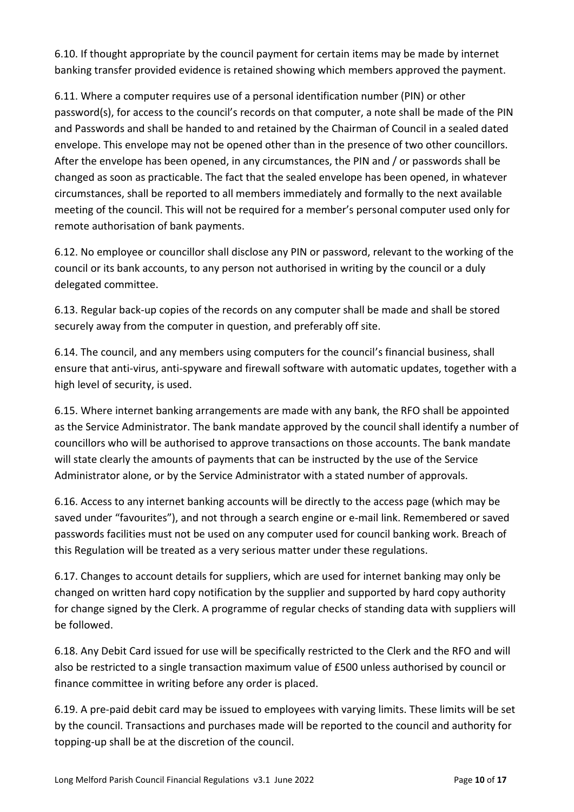6.10. If thought appropriate by the council payment for certain items may be made by internet banking transfer provided evidence is retained showing which members approved the payment.

6.11. Where a computer requires use of a personal identification number (PIN) or other password(s), for access to the council's records on that computer, a note shall be made of the PIN and Passwords and shall be handed to and retained by the Chairman of Council in a sealed dated envelope. This envelope may not be opened other than in the presence of two other councillors. After the envelope has been opened, in any circumstances, the PIN and / or passwords shall be changed as soon as practicable. The fact that the sealed envelope has been opened, in whatever circumstances, shall be reported to all members immediately and formally to the next available meeting of the council. This will not be required for a member's personal computer used only for remote authorisation of bank payments.

6.12. No employee or councillor shall disclose any PIN or password, relevant to the working of the council or its bank accounts, to any person not authorised in writing by the council or a duly delegated committee.

6.13. Regular back-up copies of the records on any computer shall be made and shall be stored securely away from the computer in question, and preferably off site.

6.14. The council, and any members using computers for the council's financial business, shall ensure that anti-virus, anti-spyware and firewall software with automatic updates, together with a high level of security, is used.

6.15. Where internet banking arrangements are made with any bank, the RFO shall be appointed as the Service Administrator. The bank mandate approved by the council shall identify a number of councillors who will be authorised to approve transactions on those accounts. The bank mandate will state clearly the amounts of payments that can be instructed by the use of the Service Administrator alone, or by the Service Administrator with a stated number of approvals.

6.16. Access to any internet banking accounts will be directly to the access page (which may be saved under "favourites"), and not through a search engine or e-mail link. Remembered or saved passwords facilities must not be used on any computer used for council banking work. Breach of this Regulation will be treated as a very serious matter under these regulations.

6.17. Changes to account details for suppliers, which are used for internet banking may only be changed on written hard copy notification by the supplier and supported by hard copy authority for change signed by the Clerk. A programme of regular checks of standing data with suppliers will be followed.

6.18. Any Debit Card issued for use will be specifically restricted to the Clerk and the RFO and will also be restricted to a single transaction maximum value of £500 unless authorised by council or finance committee in writing before any order is placed.

6.19. A pre-paid debit card may be issued to employees with varying limits. These limits will be set by the council. Transactions and purchases made will be reported to the council and authority for topping-up shall be at the discretion of the council.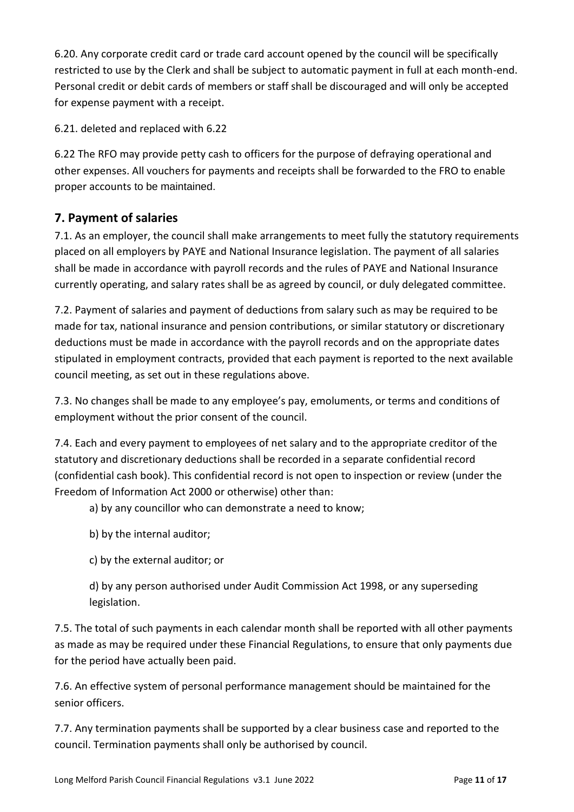6.20. Any corporate credit card or trade card account opened by the council will be specifically restricted to use by the Clerk and shall be subject to automatic payment in full at each month-end. Personal credit or debit cards of members or staff shall be discouraged and will only be accepted for expense payment with a receipt.

6.21. deleted and replaced with 6.22

6.22 The RFO may provide petty cash to officers for the purpose of defraying operational and other expenses. All vouchers for payments and receipts shall be forwarded to the FRO to enable proper accounts to be maintained.

#### **7. Payment of salaries**

7.1. As an employer, the council shall make arrangements to meet fully the statutory requirements placed on all employers by PAYE and National Insurance legislation. The payment of all salaries shall be made in accordance with payroll records and the rules of PAYE and National Insurance currently operating, and salary rates shall be as agreed by council, or duly delegated committee.

7.2. Payment of salaries and payment of deductions from salary such as may be required to be made for tax, national insurance and pension contributions, or similar statutory or discretionary deductions must be made in accordance with the payroll records and on the appropriate dates stipulated in employment contracts, provided that each payment is reported to the next available council meeting, as set out in these regulations above.

7.3. No changes shall be made to any employee's pay, emoluments, or terms and conditions of employment without the prior consent of the council.

7.4. Each and every payment to employees of net salary and to the appropriate creditor of the statutory and discretionary deductions shall be recorded in a separate confidential record (confidential cash book). This confidential record is not open to inspection or review (under the Freedom of Information Act 2000 or otherwise) other than:

a) by any councillor who can demonstrate a need to know;

b) by the internal auditor;

c) by the external auditor; or

d) by any person authorised under Audit Commission Act 1998, or any superseding legislation.

7.5. The total of such payments in each calendar month shall be reported with all other payments as made as may be required under these Financial Regulations, to ensure that only payments due for the period have actually been paid.

7.6. An effective system of personal performance management should be maintained for the senior officers.

7.7. Any termination payments shall be supported by a clear business case and reported to the council. Termination payments shall only be authorised by council.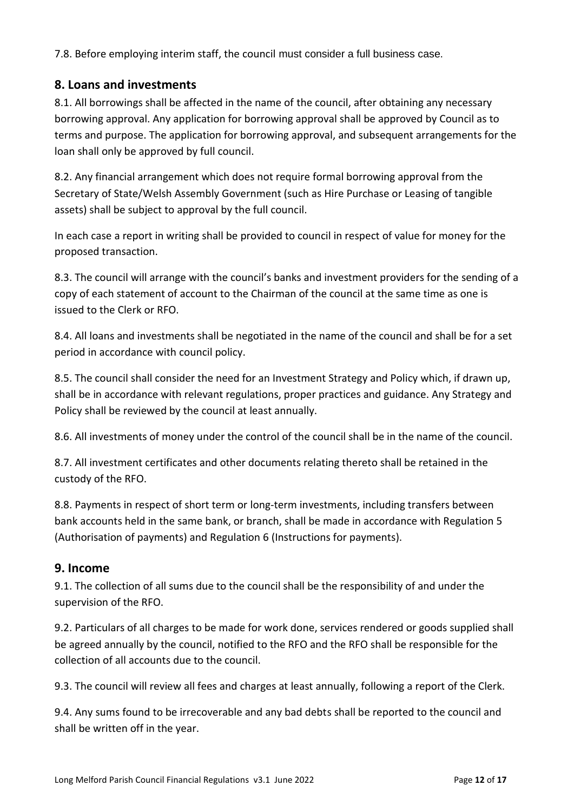7.8. Before employing interim staff, the council must consider a full business case.

#### **8. Loans and investments**

8.1. All borrowings shall be affected in the name of the council, after obtaining any necessary borrowing approval. Any application for borrowing approval shall be approved by Council as to terms and purpose. The application for borrowing approval, and subsequent arrangements for the loan shall only be approved by full council.

8.2. Any financial arrangement which does not require formal borrowing approval from the Secretary of State/Welsh Assembly Government (such as Hire Purchase or Leasing of tangible assets) shall be subject to approval by the full council.

In each case a report in writing shall be provided to council in respect of value for money for the proposed transaction.

8.3. The council will arrange with the council's banks and investment providers for the sending of a copy of each statement of account to the Chairman of the council at the same time as one is issued to the Clerk or RFO.

8.4. All loans and investments shall be negotiated in the name of the council and shall be for a set period in accordance with council policy.

8.5. The council shall consider the need for an Investment Strategy and Policy which, if drawn up, shall be in accordance with relevant regulations, proper practices and guidance. Any Strategy and Policy shall be reviewed by the council at least annually.

8.6. All investments of money under the control of the council shall be in the name of the council.

8.7. All investment certificates and other documents relating thereto shall be retained in the custody of the RFO.

8.8. Payments in respect of short term or long-term investments, including transfers between bank accounts held in the same bank, or branch, shall be made in accordance with Regulation 5 (Authorisation of payments) and Regulation 6 (Instructions for payments).

#### **9. Income**

9.1. The collection of all sums due to the council shall be the responsibility of and under the supervision of the RFO.

9.2. Particulars of all charges to be made for work done, services rendered or goods supplied shall be agreed annually by the council, notified to the RFO and the RFO shall be responsible for the collection of all accounts due to the council.

9.3. The council will review all fees and charges at least annually, following a report of the Clerk.

9.4. Any sums found to be irrecoverable and any bad debts shall be reported to the council and shall be written off in the year.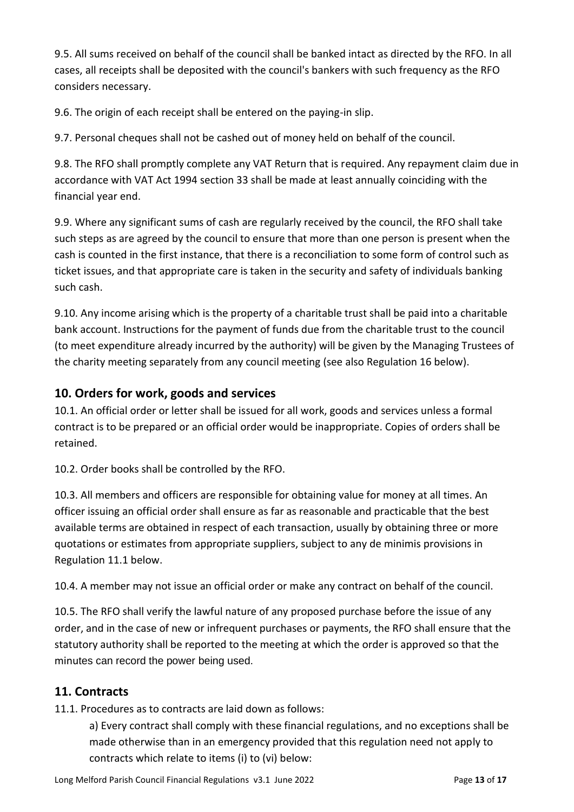9.5. All sums received on behalf of the council shall be banked intact as directed by the RFO. In all cases, all receipts shall be deposited with the council's bankers with such frequency as the RFO considers necessary.

9.6. The origin of each receipt shall be entered on the paying-in slip.

9.7. Personal cheques shall not be cashed out of money held on behalf of the council.

9.8. The RFO shall promptly complete any VAT Return that is required. Any repayment claim due in accordance with VAT Act 1994 section 33 shall be made at least annually coinciding with the financial year end.

9.9. Where any significant sums of cash are regularly received by the council, the RFO shall take such steps as are agreed by the council to ensure that more than one person is present when the cash is counted in the first instance, that there is a reconciliation to some form of control such as ticket issues, and that appropriate care is taken in the security and safety of individuals banking such cash.

9.10. Any income arising which is the property of a charitable trust shall be paid into a charitable bank account. Instructions for the payment of funds due from the charitable trust to the council (to meet expenditure already incurred by the authority) will be given by the Managing Trustees of the charity meeting separately from any council meeting (see also Regulation 16 below).

#### **10. Orders for work, goods and services**

10.1. An official order or letter shall be issued for all work, goods and services unless a formal contract is to be prepared or an official order would be inappropriate. Copies of orders shall be retained.

10.2. Order books shall be controlled by the RFO.

10.3. All members and officers are responsible for obtaining value for money at all times. An officer issuing an official order shall ensure as far as reasonable and practicable that the best available terms are obtained in respect of each transaction, usually by obtaining three or more quotations or estimates from appropriate suppliers, subject to any de minimis provisions in Regulation 11.1 below.

10.4. A member may not issue an official order or make any contract on behalf of the council.

10.5. The RFO shall verify the lawful nature of any proposed purchase before the issue of any order, and in the case of new or infrequent purchases or payments, the RFO shall ensure that the statutory authority shall be reported to the meeting at which the order is approved so that the minutes can record the power being used.

# **11. Contracts**

11.1. Procedures as to contracts are laid down as follows:

a) Every contract shall comply with these financial regulations, and no exceptions shall be made otherwise than in an emergency provided that this regulation need not apply to contracts which relate to items (i) to (vi) below: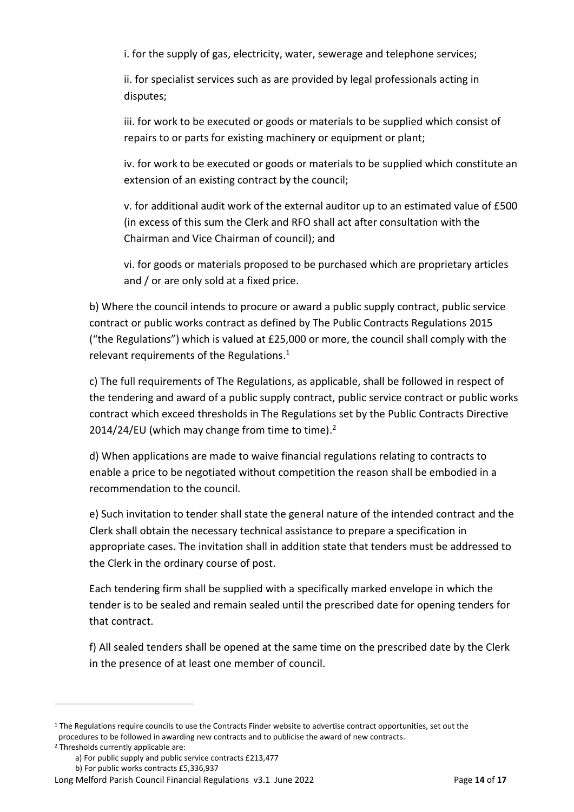i. for the supply of gas, electricity, water, sewerage and telephone services;

ii. for specialist services such as are provided by legal professionals acting in disputes;

iii. for work to be executed or goods or materials to be supplied which consist of repairs to or parts for existing machinery or equipment or plant;

iv. for work to be executed or goods or materials to be supplied which constitute an extension of an existing contract by the council;

v. for additional audit work of the external auditor up to an estimated value of £500 (in excess of this sum the Clerk and RFO shall act after consultation with the Chairman and Vice Chairman of council); and

vi. for goods or materials proposed to be purchased which are proprietary articles and / or are only sold at a fixed price.

b) Where the council intends to procure or award a public supply contract, public service contract or public works contract as defined by The Public Contracts Regulations 2015 ("the Regulations") which is valued at £25,000 or more, the council shall comply with the relevant requirements of the Regulations.<sup>1</sup>

c) The full requirements of The Regulations, as applicable, shall be followed in respect of the tendering and award of a public supply contract, public service contract or public works contract which exceed thresholds in The Regulations set by the Public Contracts Directive 2014/24/EU (which may change from time to time). $2$ 

d) When applications are made to waive financial regulations relating to contracts to enable a price to be negotiated without competition the reason shall be embodied in a recommendation to the council.

e) Such invitation to tender shall state the general nature of the intended contract and the Clerk shall obtain the necessary technical assistance to prepare a specification in appropriate cases. The invitation shall in addition state that tenders must be addressed to the Clerk in the ordinary course of post.

Each tendering firm shall be supplied with a specifically marked envelope in which the tender is to be sealed and remain sealed until the prescribed date for opening tenders for that contract.

f) All sealed tenders shall be opened at the same time on the prescribed date by the Clerk in the presence of at least one member of council.

<sup>&</sup>lt;sup>1</sup> The Regulations require councils to use the Contracts Finder website to advertise contract opportunities, set out the procedures to be followed in awarding new contracts and to publicise the award of new contracts.

<sup>2</sup> Thresholds currently applicable are:

a) For public supply and public service contracts £213,477

b) For public works contracts £5,336,937

Long Melford Parish Council Financial Regulations v3.1 June 2022 Page **14** of **17**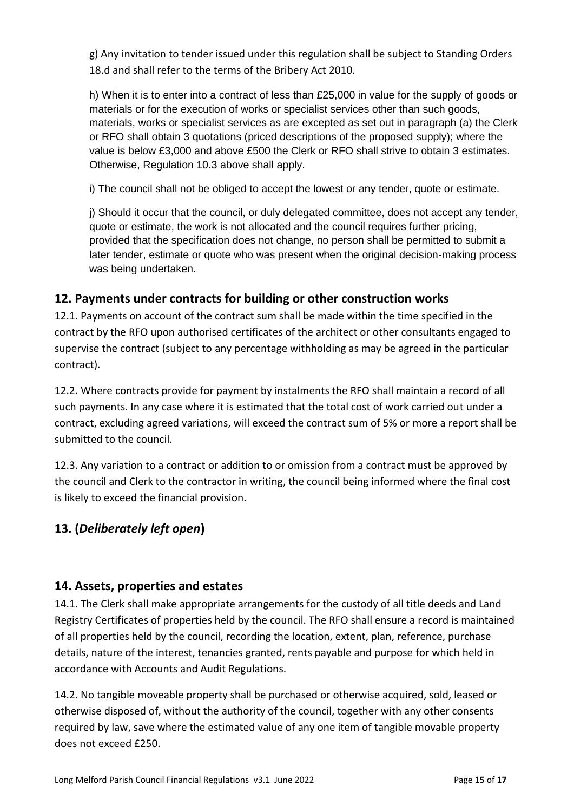g) Any invitation to tender issued under this regulation shall be subject to Standing Orders 18.d and shall refer to the terms of the Bribery Act 2010.

h) When it is to enter into a contract of less than £25,000 in value for the supply of goods or materials or for the execution of works or specialist services other than such goods, materials, works or specialist services as are excepted as set out in paragraph (a) the Clerk or RFO shall obtain 3 quotations (priced descriptions of the proposed supply); where the value is below £3,000 and above £500 the Clerk or RFO shall strive to obtain 3 estimates. Otherwise, Regulation 10.3 above shall apply.

i) The council shall not be obliged to accept the lowest or any tender, quote or estimate.

j) Should it occur that the council, or duly delegated committee, does not accept any tender, quote or estimate, the work is not allocated and the council requires further pricing, provided that the specification does not change, no person shall be permitted to submit a later tender, estimate or quote who was present when the original decision-making process was being undertaken.

#### **12. Payments under contracts for building or other construction works**

12.1. Payments on account of the contract sum shall be made within the time specified in the contract by the RFO upon authorised certificates of the architect or other consultants engaged to supervise the contract (subject to any percentage withholding as may be agreed in the particular contract).

12.2. Where contracts provide for payment by instalments the RFO shall maintain a record of all such payments. In any case where it is estimated that the total cost of work carried out under a contract, excluding agreed variations, will exceed the contract sum of 5% or more a report shall be submitted to the council.

12.3. Any variation to a contract or addition to or omission from a contract must be approved by the council and Clerk to the contractor in writing, the council being informed where the final cost is likely to exceed the financial provision.

# **13. (***Deliberately left open***)**

#### **14. Assets, properties and estates**

14.1. The Clerk shall make appropriate arrangements for the custody of all title deeds and Land Registry Certificates of properties held by the council. The RFO shall ensure a record is maintained of all properties held by the council, recording the location, extent, plan, reference, purchase details, nature of the interest, tenancies granted, rents payable and purpose for which held in accordance with Accounts and Audit Regulations.

14.2. No tangible moveable property shall be purchased or otherwise acquired, sold, leased or otherwise disposed of, without the authority of the council, together with any other consents required by law, save where the estimated value of any one item of tangible movable property does not exceed £250.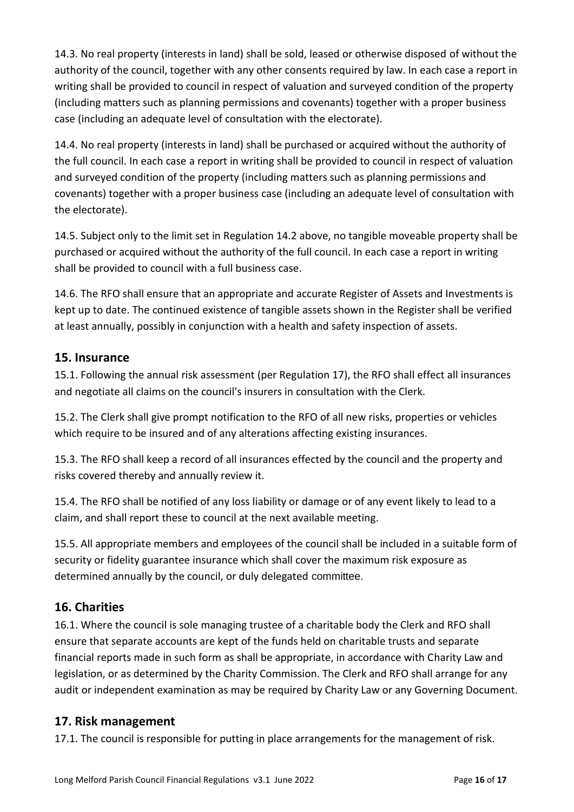14.3. No real property (interests in land) shall be sold, leased or otherwise disposed of without the authority of the council, together with any other consents required by law. In each case a report in writing shall be provided to council in respect of valuation and surveyed condition of the property (including matters such as planning permissions and covenants) together with a proper business case (including an adequate level of consultation with the electorate).

14.4. No real property (interests in land) shall be purchased or acquired without the authority of the full council. In each case a report in writing shall be provided to council in respect of valuation and surveyed condition of the property (including matters such as planning permissions and covenants) together with a proper business case (including an adequate level of consultation with the electorate).

14.5. Subject only to the limit set in Regulation 14.2 above, no tangible moveable property shall be purchased or acquired without the authority of the full council. In each case a report in writing shall be provided to council with a full business case.

14.6. The RFO shall ensure that an appropriate and accurate Register of Assets and Investments is kept up to date. The continued existence of tangible assets shown in the Register shall be verified at least annually, possibly in conjunction with a health and safety inspection of assets.

#### **15. Insurance**

15.1. Following the annual risk assessment (per Regulation 17), the RFO shall effect all insurances and negotiate all claims on the council's insurers in consultation with the Clerk.

15.2. The Clerk shall give prompt notification to the RFO of all new risks, properties or vehicles which require to be insured and of any alterations affecting existing insurances.

15.3. The RFO shall keep a record of all insurances effected by the council and the property and risks covered thereby and annually review it.

15.4. The RFO shall be notified of any loss liability or damage or of any event likely to lead to a claim, and shall report these to council at the next available meeting.

15.5. All appropriate members and employees of the council shall be included in a suitable form of security or fidelity guarantee insurance which shall cover the maximum risk exposure as determined annually by the council, or duly delegated committee.

# **16. Charities**

16.1. Where the council is sole managing trustee of a charitable body the Clerk and RFO shall ensure that separate accounts are kept of the funds held on charitable trusts and separate financial reports made in such form as shall be appropriate, in accordance with Charity Law and legislation, or as determined by the Charity Commission. The Clerk and RFO shall arrange for any audit or independent examination as may be required by Charity Law or any Governing Document.

#### **17. Risk management**

17.1. The council is responsible for putting in place arrangements for the management of risk.